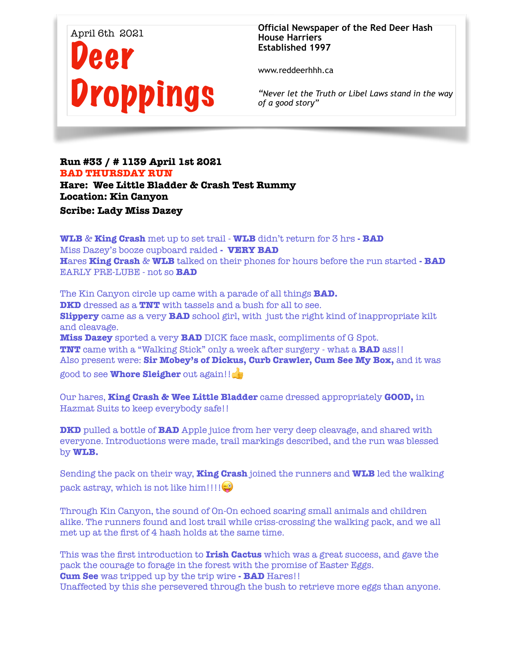

**Official Newspaper of the Red Deer Hash House Harriers Established 1997** 

www.reddeerhhh.ca

*"Never let the Truth or Libel Laws stand in the way of a good story"*

## **Run #33 / # 1139 April 1st 2021 BAD THURSDAY RUN Hare: Wee Little Bladder & Crash Test Rummy**

**Location: Kin Canyon** 

**Scribe: Lady Miss Dazey** 

**WLB** & **King Crash** met up to set trail - **WLB** didn't return for 3 hrs **- BAD** Miss Dazey's booze cupboard raided **- VERY BAD H**ares **King Crash** & **WLB** talked on their phones for hours before the run started **- BAD**  EARLY PRE-LUBE - not so **BAD** 

The Kin Canyon circle up came with a parade of all things **BAD. DKD** dressed as a **TNT** with tassels and a bush for all to see. **Slippery** came as a very **BAD** school girl, with just the right kind of inappropriate kilt and cleavage. **Miss Dazey** sported a very **BAD** DICK face mask, compliments of G Spot. **TNT** came with a "Walking Stick" only a week after surgery - what a **BAD** ass!! Also present were: **Sir Mobey's of Dickus, Curb Crawler, Cum See My Box,** and it was good to see **Whore Sleigher** out again!!

Our hares, **King Crash & Wee Little Bladder** came dressed appropriately **GOOD,** in Hazmat Suits to keep everybody safe!!

**DKD** pulled a bottle of **BAD** Apple juice from her very deep cleavage, and shared with everyone. Introductions were made, trail markings described, and the run was blessed by **WLB.**

Sending the pack on their way, **King Crash** joined the runners and **WLB** led the walking pack astray, which is not like him!!!! $\bigcirc$ 

Through Kin Canyon, the sound of On-On echoed scaring small animals and children alike. The runners found and lost trail while criss-crossing the walking pack, and we all met up at the first of 4 hash holds at the same time.

This was the first introduction to **Irish Cactus** which was a great success, and gave the pack the courage to forage in the forest with the promise of Easter Eggs. **Cum See** was tripped up by the trip wire **- BAD** Hares!! Unaffected by this she persevered through the bush to retrieve more eggs than anyone.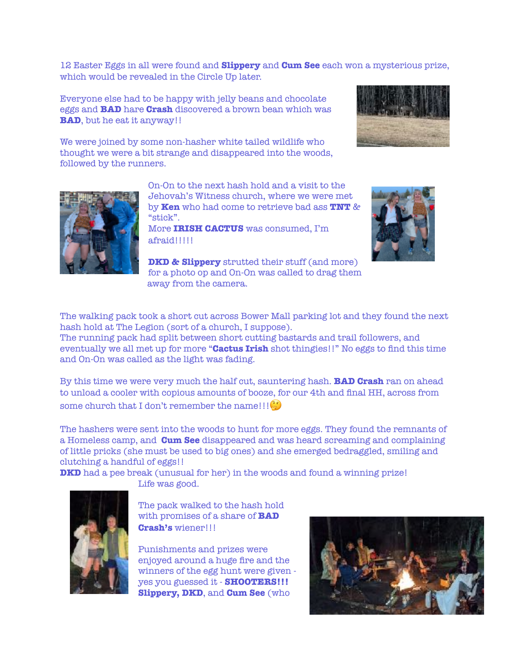12 Easter Eggs in all were found and **Slippery** and **Cum See** each won a mysterious prize, which would be revealed in the Circle Up later.

Everyone else had to be happy with jelly beans and chocolate eggs and **BAD** hare **Crash** discovered a brown bean which was **BAD**, but he eat it anyway!!

We were joined by some non-hasher white tailed wildlife who thought we were a bit strange and disappeared into the woods, followed by the runners.





On-On to the next hash hold and a visit to the Jehovah's Witness church, where we were met by **Ken** who had come to retrieve bad ass **TNT** & "stick".

More **IRISH CACTUS** was consumed, I'm afraid!!!!!

**DKD & Slippery** strutted their stuff (and more) for a photo op and On-On was called to drag them away from the camera.



The walking pack took a short cut across Bower Mall parking lot and they found the next hash hold at The Legion (sort of a church, I suppose). The running pack had split between short cutting bastards and trail followers, and

eventually we all met up for more "**Cactus Irish** shot thingies!!" No eggs to find this time and On-On was called as the light was fading.

By this time we were very much the half cut, sauntering hash. **BAD Crash** ran on ahead to unload a cooler with copious amounts of booze, for our 4th and final HH, across from some church that I don't remember the name!!! $(\cdot)$ 

The hashers were sent into the woods to hunt for more eggs. They found the remnants of a Homeless camp, and **Cum See** disappeared and was heard screaming and complaining of little pricks (she must be used to big ones) and she emerged bedraggled, smiling and clutching a handful of eggs!!

**DKD** had a pee break (unusual for her) in the woods and found a winning prize! Life was good.



The pack walked to the hash hold with promises of a share of **BAD Crash's** wiener!!!

Punishments and prizes were enjoyed around a huge fire and the winners of the egg hunt were given yes you guessed it - **SHOOTERS!!! Slippery, DKD**, and **Cum See** (who